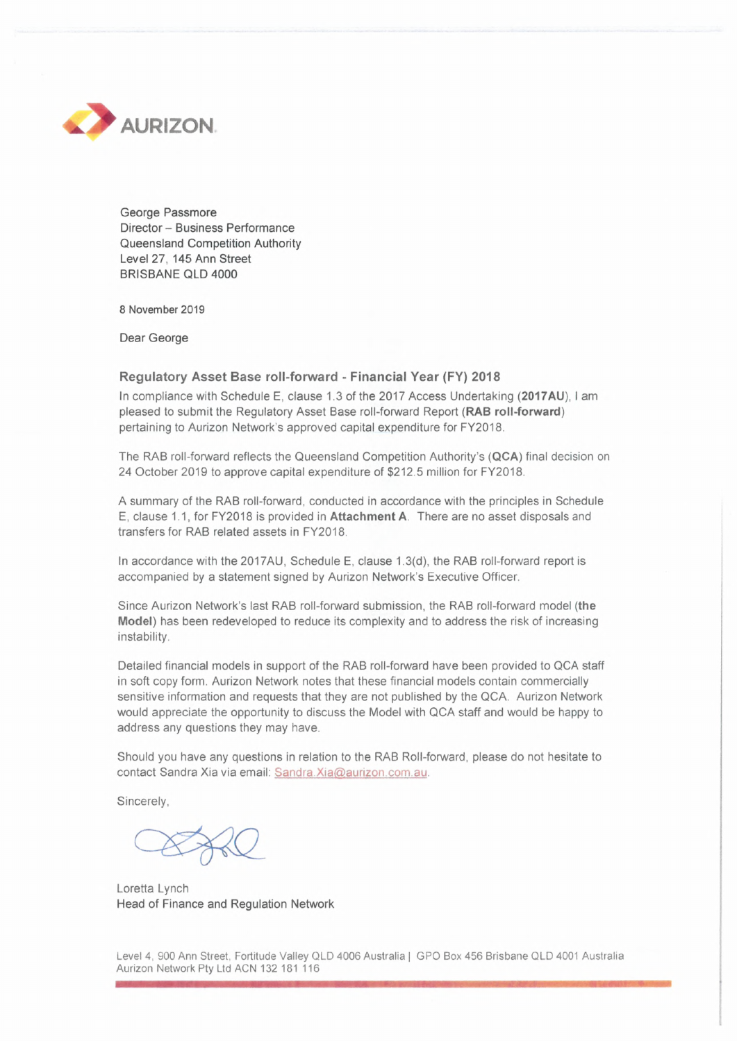

George Passmore Director - Business Performance Queensland Competition Authority Level 27, 145 Ann Street BRISBANE QLD 4000

8 November 2019

Dear George

## **Regulatory Asset Base roll-forward - Financial Year (FY) 2018**

In compliance with Schedule E, clause 1.3 of the 2017 Access Undertaking **(2017AU),** <sup>I</sup> am pleased to submit the Regulatory Asset Base roll-forward Report **(RAB roll-forward)** pertaining to Aurizon Network's approved capital expenditure for FY2018.

The RAB roll-forward reflects the Queensland Competition Authority's **(QCA)** final decision on 24 October 2019 to approve capital expenditure of \$212.5 million for FY2018.

A summary of the RAB roll-forward, conducted in accordance with the principles in Schedule E, clause 1.1, for FY2018 is provided in **Attachment A** There are no asset disposals and transfers for RAB related assets in FY2018.

In accordance with the 2017AU, Schedule E, clause 1.3(d), the RAB roll-forward report is accompanied by a statement signed by Aurizon Network's Executive Officer.

Since Aurizon Network's last RAB roll-forward submission, the RAB roll-forward model **(the Model)** has been redeveloped to reduce its complexity and to address the risk of increasing instability.

Detailed financial models in support of the RAB roll-forward have been provided to QCA staff in soft copy form. Aurizon Network notes that these financial models contain commercially sensitive information and requests that they are not published by the QCA. Aurizon Network would appreciate the opportunity to discuss the Model with QCA staff and would be happy to address any questions they may have.

Should you have any questions in relation to the RAB Roll-forward, please do not hesitate to contact Sandra Xia via email: Sandra [Xia@aurizon.com.au.](mailto:Sandra_Xia@aurizon.com.au)

Sincerely,

Loretta Lynch Head of Finance and Regulation Network

Level 4, 900 Ann Street, Fortitude Valley QLD 4006 Australia <sup>|</sup> GPO Box 456 Brisbane QLD 4001 Australia Aurizon Network Pty Ltd ACN 132 181 116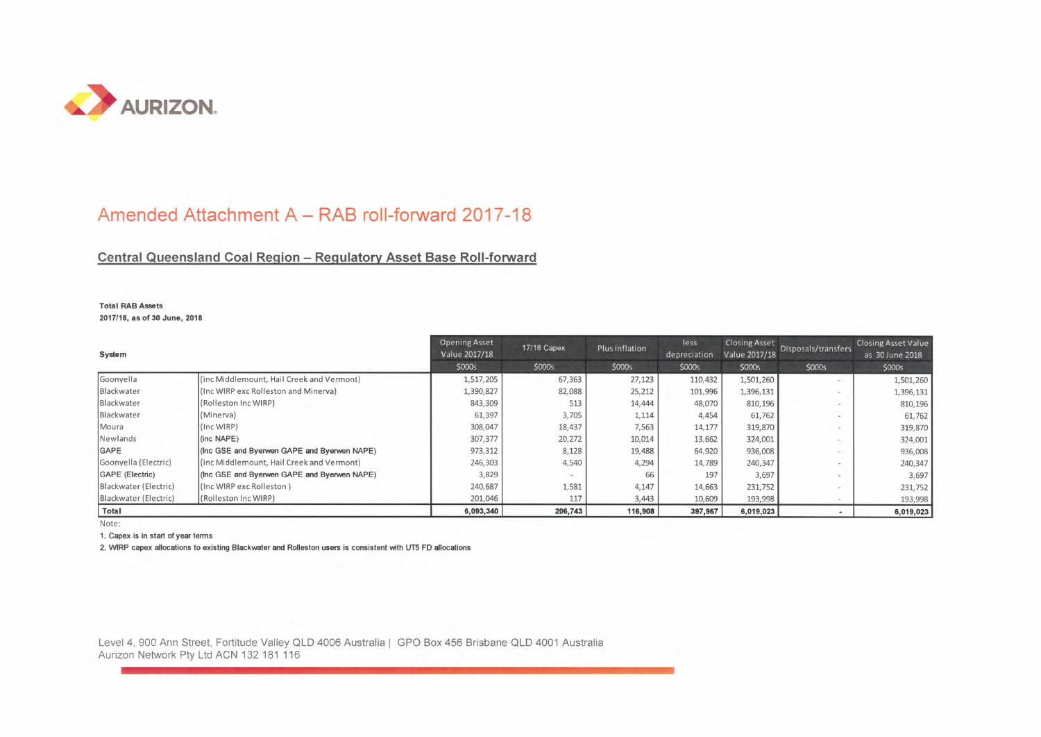

## Amended Attachment A - RAB roll-forward 2017-18

## **Central Queensland Coal Region - Regulatory Asset Base Roll-forward**

**Total RAB Assets 2017/18, as of 30 June, 2018**

| System                |                                             | <b>Opening Asset</b><br>Value 2017/18 | <b>17/18 Capex</b> | Plus inflation | less<br>depreciation | <b>Closing Asset</b><br>Value 2017/18 | Disposals/transfers      | <b>Closing Asset Value</b><br>as 30 June 2018 |
|-----------------------|---------------------------------------------|---------------------------------------|--------------------|----------------|----------------------|---------------------------------------|--------------------------|-----------------------------------------------|
|                       |                                             | \$000s                                | \$000s             | \$000s         | \$000s               | \$000s                                | \$000s                   | \$000s                                        |
| Goonyella             | (inc Middlemount, Hail Creek and Vermont)   | 1,517,205                             | 67,363             | 27,123         | 110,432              | 1,501,260                             | $\overline{\phantom{a}}$ | 1,501,260                                     |
| Blackwater            | (Inc WIRP exc Rolleston and Minerva)        | 1,390,827                             | 82,088             | 25,212         | 101,996              | 1,396,131                             |                          | 1,396,131                                     |
| Blackwater            | (Rolleston Inc WIRP)                        | 843,309                               | 513                | 14,444         | 48,070               | 810,196                               |                          | 810,196                                       |
| Blackwater            | (Minerva)                                   | 61,397                                | 3,705              | 1,114          | 4,454                | 61,762                                | $\overline{\phantom{a}}$ | 61,762                                        |
| Moura                 | (Inc WIRP)                                  | 308,047                               | 18,437             | 7,563          | 14,177               | 319,870                               | $\sim$                   | 319,870                                       |
| Newlands              | $(inc \ NAPE)$                              | 307,377                               | 20,272             | 10,014         | 13,662               | 324,001                               |                          | 324,001                                       |
| <b>IGAPE</b>          | (Inc GSE and Byerwen GAPE and Byerwen NAPE) | 973,312                               | 8,128              | 19,488         | 64,920               | 936,008                               |                          | 936,008                                       |
| Goonyella (Electric)  | (inc Middlemount, Hail Creek and Vermont)   | 246,303                               | 4,540              | 4,294          | 14,789               | 240,347                               |                          | 240,347                                       |
| GAPE (Electric)       | (Inc GSE and Byerwen GAPE and Byerwen NAPE) | 3,829                                 |                    | 66             | 197                  | 3,697                                 |                          | 3,697                                         |
| Blackwater (Electric) | (Inc WIRP exc Rolleston)                    | 240,687                               | 1,581              | 4,147          | 14,663               | 231,752                               |                          | 231,752                                       |
| Blackwater (Electric) | (Rolleston Inc WIRP)                        | 201,046                               | 117                | 3,443          | 10,609               | 193,998                               |                          | 193,998                                       |
| Total                 |                                             | 6,093,340                             | 206,743            | 116,908        | 397,967              | 6,019,023                             |                          | 6,019,023                                     |

Note:

1. Capex is in start of year terms

2. WIRP capex allocations to existing Blackwater and Rolleston users is consistent with UT5 FD allocations

Level 4, 900 Ann Street, Fortitude Valley QLD 4006 Australia <sup>|</sup> GPO Box 456 Brisbane QLD 4001 Australia Aurizon Network Pty Ltd ACN 132 181 116